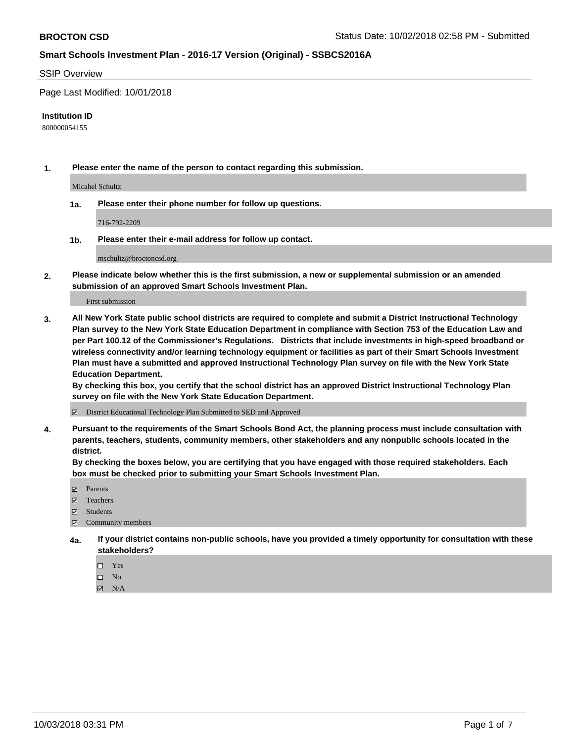#### SSIP Overview

Page Last Modified: 10/01/2018

#### **Institution ID**

800000054155

**1. Please enter the name of the person to contact regarding this submission.**

Micahel Schultz

**1a. Please enter their phone number for follow up questions.**

716-792-2209

**1b. Please enter their e-mail address for follow up contact.**

mschultz@broctoncsd.org

**2. Please indicate below whether this is the first submission, a new or supplemental submission or an amended submission of an approved Smart Schools Investment Plan.**

First submission

**3. All New York State public school districts are required to complete and submit a District Instructional Technology Plan survey to the New York State Education Department in compliance with Section 753 of the Education Law and per Part 100.12 of the Commissioner's Regulations. Districts that include investments in high-speed broadband or wireless connectivity and/or learning technology equipment or facilities as part of their Smart Schools Investment Plan must have a submitted and approved Instructional Technology Plan survey on file with the New York State Education Department.** 

**By checking this box, you certify that the school district has an approved District Instructional Technology Plan survey on file with the New York State Education Department.**

District Educational Technology Plan Submitted to SED and Approved

**4. Pursuant to the requirements of the Smart Schools Bond Act, the planning process must include consultation with parents, teachers, students, community members, other stakeholders and any nonpublic schools located in the district.** 

**By checking the boxes below, you are certifying that you have engaged with those required stakeholders. Each box must be checked prior to submitting your Smart Schools Investment Plan.**

- **□** Parents
- Teachers
- Students
- $\boxtimes$  Community members
- **4a. If your district contains non-public schools, have you provided a timely opportunity for consultation with these stakeholders?**
	- $\Box$  Yes
	- $\qquad \qquad$  No
	- $\blacksquare$  N/A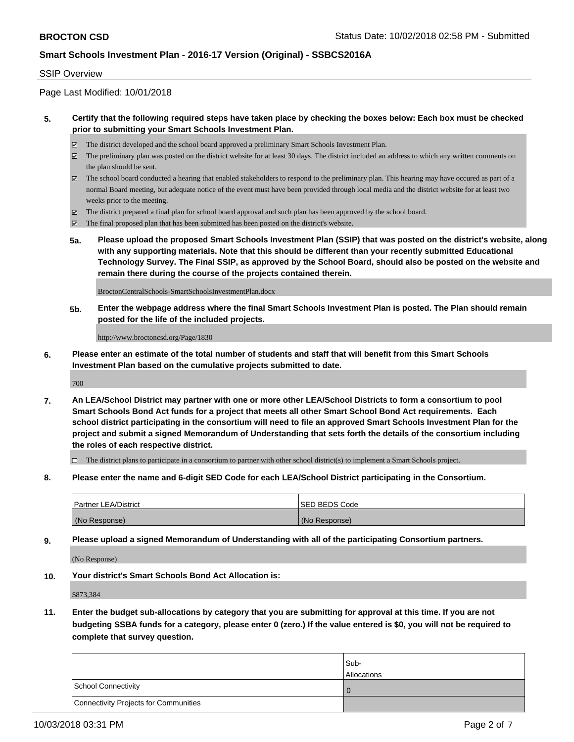#### SSIP Overview

Page Last Modified: 10/01/2018

### **5. Certify that the following required steps have taken place by checking the boxes below: Each box must be checked prior to submitting your Smart Schools Investment Plan.**

- The district developed and the school board approved a preliminary Smart Schools Investment Plan.
- $\boxtimes$  The preliminary plan was posted on the district website for at least 30 days. The district included an address to which any written comments on the plan should be sent.
- $\boxtimes$  The school board conducted a hearing that enabled stakeholders to respond to the preliminary plan. This hearing may have occured as part of a normal Board meeting, but adequate notice of the event must have been provided through local media and the district website for at least two weeks prior to the meeting.
- The district prepared a final plan for school board approval and such plan has been approved by the school board.
- $\boxtimes$  The final proposed plan that has been submitted has been posted on the district's website.
- **5a. Please upload the proposed Smart Schools Investment Plan (SSIP) that was posted on the district's website, along with any supporting materials. Note that this should be different than your recently submitted Educational Technology Survey. The Final SSIP, as approved by the School Board, should also be posted on the website and remain there during the course of the projects contained therein.**

BroctonCentralSchools-SmartSchoolsInvestmentPlan.docx

**5b. Enter the webpage address where the final Smart Schools Investment Plan is posted. The Plan should remain posted for the life of the included projects.**

http://www.broctoncsd.org/Page/1830

**6. Please enter an estimate of the total number of students and staff that will benefit from this Smart Schools Investment Plan based on the cumulative projects submitted to date.**

700

**7. An LEA/School District may partner with one or more other LEA/School Districts to form a consortium to pool Smart Schools Bond Act funds for a project that meets all other Smart School Bond Act requirements. Each school district participating in the consortium will need to file an approved Smart Schools Investment Plan for the project and submit a signed Memorandum of Understanding that sets forth the details of the consortium including the roles of each respective district.**

 $\Box$  The district plans to participate in a consortium to partner with other school district(s) to implement a Smart Schools project.

**8. Please enter the name and 6-digit SED Code for each LEA/School District participating in the Consortium.**

| <b>Partner LEA/District</b> | <b>ISED BEDS Code</b> |
|-----------------------------|-----------------------|
| (No Response)               | (No Response)         |

**9. Please upload a signed Memorandum of Understanding with all of the participating Consortium partners.**

(No Response)

**10. Your district's Smart Schools Bond Act Allocation is:**

\$873,384

**11. Enter the budget sub-allocations by category that you are submitting for approval at this time. If you are not budgeting SSBA funds for a category, please enter 0 (zero.) If the value entered is \$0, you will not be required to complete that survey question.**

|                                              | Sub-<br><b>Allocations</b> |
|----------------------------------------------|----------------------------|
| <b>School Connectivity</b>                   |                            |
| <b>Connectivity Projects for Communities</b> |                            |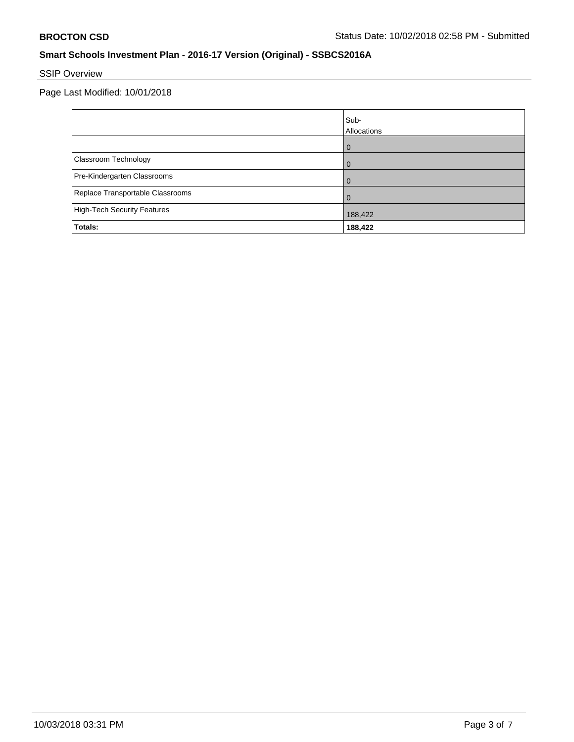# SSIP Overview

Page Last Modified: 10/01/2018

|                                  | Sub-<br>Allocations |
|----------------------------------|---------------------|
|                                  | $\Omega$            |
| Classroom Technology             | 0                   |
| Pre-Kindergarten Classrooms      | $\Omega$            |
| Replace Transportable Classrooms | $\Omega$            |
| High-Tech Security Features      | 188,422             |
| Totals:                          | 188,422             |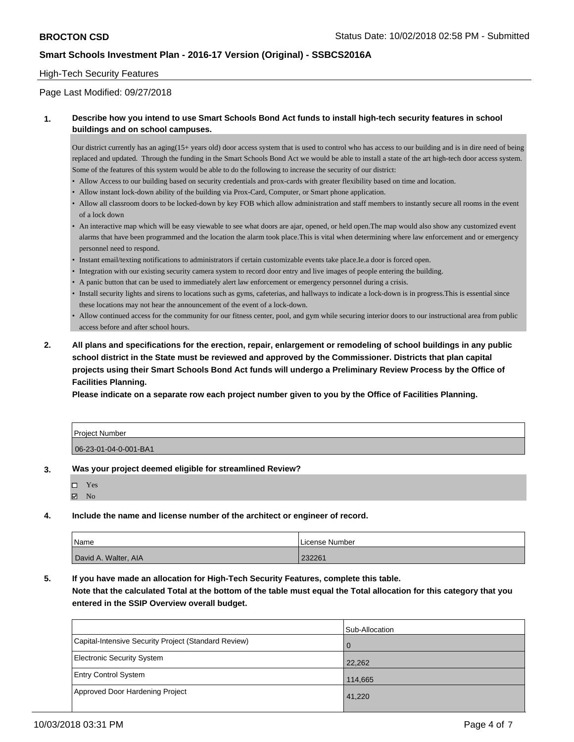#### High-Tech Security Features

#### Page Last Modified: 09/27/2018

### **1. Describe how you intend to use Smart Schools Bond Act funds to install high-tech security features in school buildings and on school campuses.**

Our district currently has an aging(15+ years old) door access system that is used to control who has access to our building and is in dire need of being replaced and updated. Through the funding in the Smart Schools Bond Act we would be able to install a state of the art high-tech door access system. Some of the features of this system would be able to do the following to increase the security of our district:

- Allow Access to our building based on security credentials and prox-cards with greater flexibility based on time and location.
- Allow instant lock-down ability of the building via Prox-Card, Computer, or Smart phone application.
- Allow all classroom doors to be locked-down by key FOB which allow administration and staff members to instantly secure all rooms in the event of a lock down
- An interactive map which will be easy viewable to see what doors are ajar, opened, or held open.The map would also show any customized event alarms that have been programmed and the location the alarm took place.This is vital when determining where law enforcement and or emergency personnel need to respond.
- Instant email/texting notifications to administrators if certain customizable events take place.Ie.a door is forced open.
- Integration with our existing security camera system to record door entry and live images of people entering the building.
- A panic button that can be used to immediately alert law enforcement or emergency personnel during a crisis.
- Install security lights and sirens to locations such as gyms, cafeterias, and hallways to indicate a lock-down is in progress.This is essential since these locations may not hear the announcement of the event of a lock-down.
- Allow continued access for the community for our fitness center, pool, and gym while securing interior doors to our instructional area from public access before and after school hours.
- **2. All plans and specifications for the erection, repair, enlargement or remodeling of school buildings in any public school district in the State must be reviewed and approved by the Commissioner. Districts that plan capital projects using their Smart Schools Bond Act funds will undergo a Preliminary Review Process by the Office of Facilities Planning.**

**Please indicate on a separate row each project number given to you by the Office of Facilities Planning.**

| Project Number        |  |
|-----------------------|--|
| 06-23-01-04-0-001-BA1 |  |

#### **3. Was your project deemed eligible for streamlined Review?**

| □ | Yes            |  |
|---|----------------|--|
| ☑ | N <sub>0</sub> |  |

**4. Include the name and license number of the architect or engineer of record.**

| Name                 | . License Number |
|----------------------|------------------|
| David A. Walter, AIA | 232261           |

**5. If you have made an allocation for High-Tech Security Features, complete this table.**

**Note that the calculated Total at the bottom of the table must equal the Total allocation for this category that you entered in the SSIP Overview overall budget.**

|                                                      | Sub-Allocation |
|------------------------------------------------------|----------------|
| Capital-Intensive Security Project (Standard Review) | $\Omega$       |
| Electronic Security System                           | 22,262         |
| <b>Entry Control System</b>                          | 114,665        |
| Approved Door Hardening Project                      | 41,220         |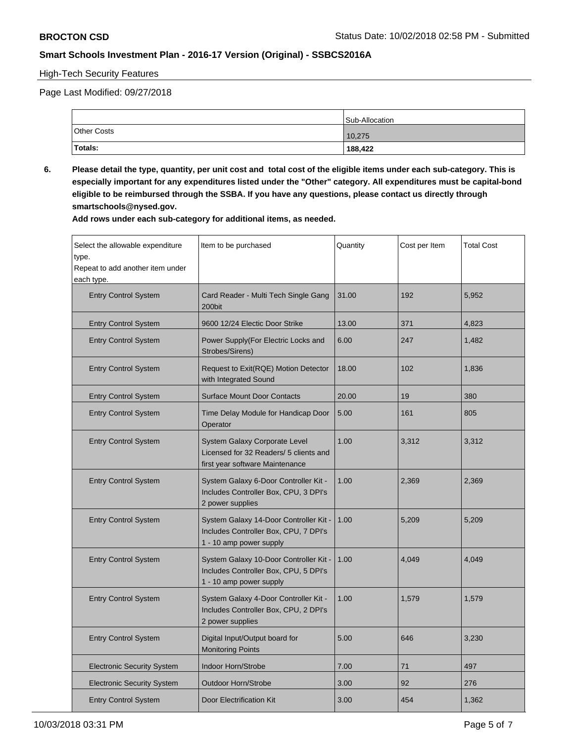### High-Tech Security Features

Page Last Modified: 09/27/2018

|                    | Sub-Allocation |
|--------------------|----------------|
| <b>Other Costs</b> | 10,275         |
| Totals:            | 188,422        |

**6. Please detail the type, quantity, per unit cost and total cost of the eligible items under each sub-category. This is especially important for any expenditures listed under the "Other" category. All expenditures must be capital-bond eligible to be reimbursed through the SSBA. If you have any questions, please contact us directly through smartschools@nysed.gov.**

**Add rows under each sub-category for additional items, as needed.**

| Select the allowable expenditure<br>type.<br>Repeat to add another item under<br>each type. | Item to be purchased                                                                                       | Quantity | Cost per Item | <b>Total Cost</b> |
|---------------------------------------------------------------------------------------------|------------------------------------------------------------------------------------------------------------|----------|---------------|-------------------|
| <b>Entry Control System</b>                                                                 | Card Reader - Multi Tech Single Gang<br>200bit                                                             | 31.00    | 192           | 5,952             |
| <b>Entry Control System</b>                                                                 | 9600 12/24 Electic Door Strike                                                                             | 13.00    | 371           | 4,823             |
| <b>Entry Control System</b>                                                                 | Power Supply(For Electric Locks and<br>Strobes/Sirens)                                                     | 6.00     | 247           | 1,482             |
| <b>Entry Control System</b>                                                                 | Request to Exit(RQE) Motion Detector<br>with Integrated Sound                                              | 18.00    | 102           | 1,836             |
| <b>Entry Control System</b>                                                                 | <b>Surface Mount Door Contacts</b>                                                                         | 20.00    | 19            | 380               |
| <b>Entry Control System</b>                                                                 | Time Delay Module for Handicap Door<br>Operator                                                            | 5.00     | 161           | 805               |
| <b>Entry Control System</b>                                                                 | System Galaxy Corporate Level<br>Licensed for 32 Readers/ 5 clients and<br>first year software Maintenance | 1.00     | 3,312         | 3,312             |
| <b>Entry Control System</b>                                                                 | System Galaxy 6-Door Controller Kit -<br>Includes Controller Box, CPU, 3 DPI's<br>2 power supplies         | 1.00     | 2,369         | 2,369             |
| <b>Entry Control System</b>                                                                 | System Galaxy 14-Door Controller Kit -<br>Includes Controller Box, CPU, 7 DPI's<br>1 - 10 amp power supply | 1.00     | 5,209         | 5,209             |
| <b>Entry Control System</b>                                                                 | System Galaxy 10-Door Controller Kit -<br>Includes Controller Box, CPU, 5 DPI's<br>1 - 10 amp power supply | 1.00     | 4,049         | 4,049             |
| <b>Entry Control System</b>                                                                 | System Galaxy 4-Door Controller Kit -<br>Includes Controller Box, CPU, 2 DPI's<br>2 power supplies         | 1.00     | 1,579         | 1,579             |
| <b>Entry Control System</b>                                                                 | Digital Input/Output board for<br><b>Monitoring Points</b>                                                 | 5.00     | 646           | 3,230             |
| <b>Electronic Security System</b>                                                           | Indoor Horn/Strobe                                                                                         | 7.00     | 71            | 497               |
| <b>Electronic Security System</b>                                                           | <b>Outdoor Horn/Strobe</b>                                                                                 | 3.00     | 92            | 276               |
| <b>Entry Control System</b>                                                                 | Door Electrification Kit                                                                                   | 3.00     | 454           | 1,362             |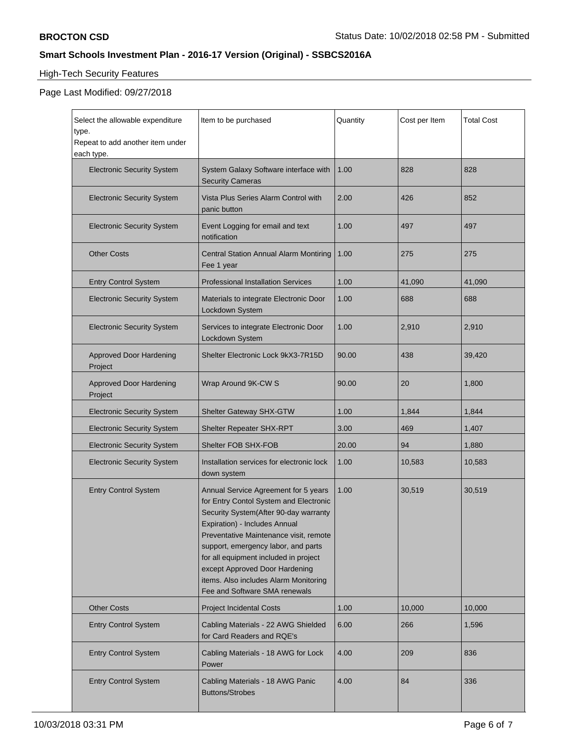# High-Tech Security Features

# Page Last Modified: 09/27/2018

| Select the allowable expenditure<br>type.<br>Repeat to add another item under<br>each type. | Item to be purchased                                                                                                                                                                                                                                                                                                                                                                           | Quantity | Cost per Item | <b>Total Cost</b> |
|---------------------------------------------------------------------------------------------|------------------------------------------------------------------------------------------------------------------------------------------------------------------------------------------------------------------------------------------------------------------------------------------------------------------------------------------------------------------------------------------------|----------|---------------|-------------------|
| <b>Electronic Security System</b>                                                           | System Galaxy Software interface with<br><b>Security Cameras</b>                                                                                                                                                                                                                                                                                                                               | 1.00     | 828           | 828               |
| <b>Electronic Security System</b>                                                           | Vista Plus Series Alarm Control with<br>panic button                                                                                                                                                                                                                                                                                                                                           | 2.00     | 426           | 852               |
| <b>Electronic Security System</b>                                                           | Event Logging for email and text<br>notification                                                                                                                                                                                                                                                                                                                                               | 1.00     | 497           | 497               |
| <b>Other Costs</b>                                                                          | Central Station Annual Alarm Montiring<br>Fee 1 year                                                                                                                                                                                                                                                                                                                                           | 1.00     | 275           | 275               |
| <b>Entry Control System</b>                                                                 | <b>Professional Installation Services</b>                                                                                                                                                                                                                                                                                                                                                      | 1.00     | 41,090        | 41,090            |
| <b>Electronic Security System</b>                                                           | Materials to integrate Electronic Door<br>Lockdown System                                                                                                                                                                                                                                                                                                                                      | 1.00     | 688           | 688               |
| <b>Electronic Security System</b>                                                           | Services to integrate Electronic Door<br>Lockdown System                                                                                                                                                                                                                                                                                                                                       | 1.00     | 2,910         | 2,910             |
| <b>Approved Door Hardening</b><br>Project                                                   | Shelter Electronic Lock 9kX3-7R15D                                                                                                                                                                                                                                                                                                                                                             | 90.00    | 438           | 39,420            |
| <b>Approved Door Hardening</b><br>Project                                                   | Wrap Around 9K-CW S                                                                                                                                                                                                                                                                                                                                                                            | 90.00    | 20            | 1,800             |
| <b>Electronic Security System</b>                                                           | Shelter Gateway SHX-GTW                                                                                                                                                                                                                                                                                                                                                                        | 1.00     | 1,844         | 1,844             |
| <b>Electronic Security System</b>                                                           | Shelter Repeater SHX-RPT                                                                                                                                                                                                                                                                                                                                                                       | 3.00     | 469           | 1,407             |
| <b>Electronic Security System</b>                                                           | Shelter FOB SHX-FOB                                                                                                                                                                                                                                                                                                                                                                            | 20.00    | 94            | 1,880             |
| <b>Electronic Security System</b>                                                           | Installation services for electronic lock<br>down system                                                                                                                                                                                                                                                                                                                                       | 1.00     | 10,583        | 10,583            |
| <b>Entry Control System</b>                                                                 | Annual Service Agreement for 5 years<br>for Entry Contol System and Electronic<br>Security System(After 90-day warranty<br>Expiration) - Includes Annual<br>Preventative Maintenance visit, remote<br>support, emergency labor, and parts<br>for all equipment included in project<br>except Approved Door Hardening<br>items. Also includes Alarm Monitoring<br>Fee and Software SMA renewals | 1.00     | 30,519        | 30,519            |
| <b>Other Costs</b>                                                                          | <b>Project Incidental Costs</b>                                                                                                                                                                                                                                                                                                                                                                | 1.00     | 10,000        | 10,000            |
| <b>Entry Control System</b>                                                                 | Cabling Materials - 22 AWG Shielded<br>for Card Readers and RQE's                                                                                                                                                                                                                                                                                                                              | 6.00     | 266           | 1,596             |
| <b>Entry Control System</b>                                                                 | Cabling Materials - 18 AWG for Lock<br>Power                                                                                                                                                                                                                                                                                                                                                   | 4.00     | 209           | 836               |
| <b>Entry Control System</b>                                                                 | Cabling Materials - 18 AWG Panic<br><b>Buttons/Strobes</b>                                                                                                                                                                                                                                                                                                                                     | 4.00     | 84            | 336               |